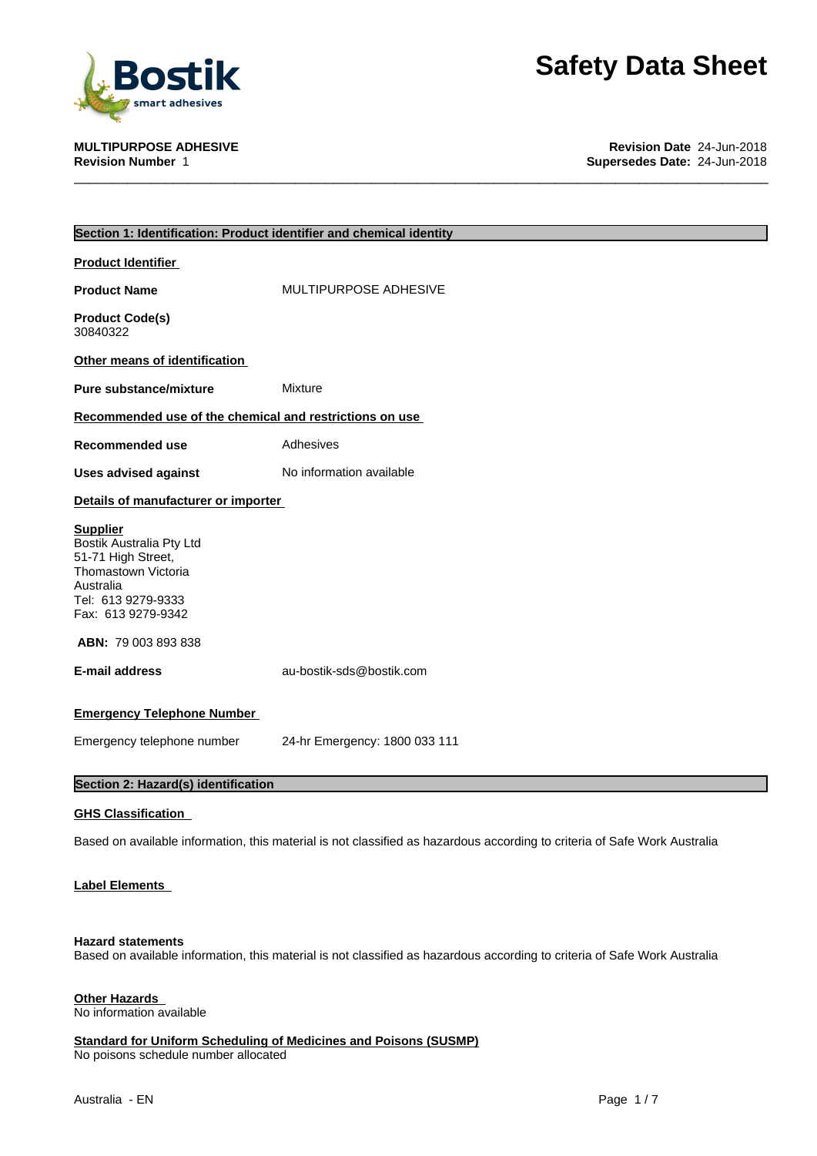

**MULTIPURPOSE ADHESIVE Revision Date** 24-Jun-2018 **Supersedes Date:** 24-Jun-2018

| Section 1: Identification: Product identifier and chemical identity                                                                               |                                                                                                                           |  |  |  |  |
|---------------------------------------------------------------------------------------------------------------------------------------------------|---------------------------------------------------------------------------------------------------------------------------|--|--|--|--|
| Product Identifier                                                                                                                                |                                                                                                                           |  |  |  |  |
| <b>Product Name</b>                                                                                                                               | MULTIPURPOSE ADHESIVE                                                                                                     |  |  |  |  |
| <b>Product Code(s)</b><br>30840322                                                                                                                |                                                                                                                           |  |  |  |  |
| Other means of identification                                                                                                                     |                                                                                                                           |  |  |  |  |
| <b>Pure substance/mixture</b>                                                                                                                     | Mixture                                                                                                                   |  |  |  |  |
| Recommended use of the chemical and restrictions on use                                                                                           |                                                                                                                           |  |  |  |  |
| Recommended use                                                                                                                                   | Adhesives                                                                                                                 |  |  |  |  |
| <b>Uses advised against</b>                                                                                                                       | No information available                                                                                                  |  |  |  |  |
| Details of manufacturer or importer                                                                                                               |                                                                                                                           |  |  |  |  |
| <b>Supplier</b><br>Bostik Australia Pty Ltd<br>51-71 High Street,<br>Thomastown Victoria<br>Australia<br>Tel: 613 9279-9333<br>Fax: 613 9279-9342 |                                                                                                                           |  |  |  |  |
| <b>ABN: 79 003 893 838</b>                                                                                                                        |                                                                                                                           |  |  |  |  |
| E-mail address                                                                                                                                    | au-bostik-sds@bostik.com                                                                                                  |  |  |  |  |
| <b>Emergency Telephone Number</b>                                                                                                                 |                                                                                                                           |  |  |  |  |
| Emergency telephone number                                                                                                                        | 24-hr Emergency: 1800 033 111                                                                                             |  |  |  |  |
| Section 2: Hazard(s) identification                                                                                                               |                                                                                                                           |  |  |  |  |
| <b>GHS Classification</b>                                                                                                                         |                                                                                                                           |  |  |  |  |
|                                                                                                                                                   | Based on available information, this material is not classified as hazardous according to criteria of Safe Work Australia |  |  |  |  |
| <b>Label Elements</b>                                                                                                                             |                                                                                                                           |  |  |  |  |
|                                                                                                                                                   |                                                                                                                           |  |  |  |  |

### **Hazard statements**

Based on available information, this material is not classified as hazardous according to criteria of Safe Work Australia

### **Other Hazards**

No information available

**Standard for Uniform Scheduling of Medicines and Poisons (SUSMP)** No poisons schedule number allocated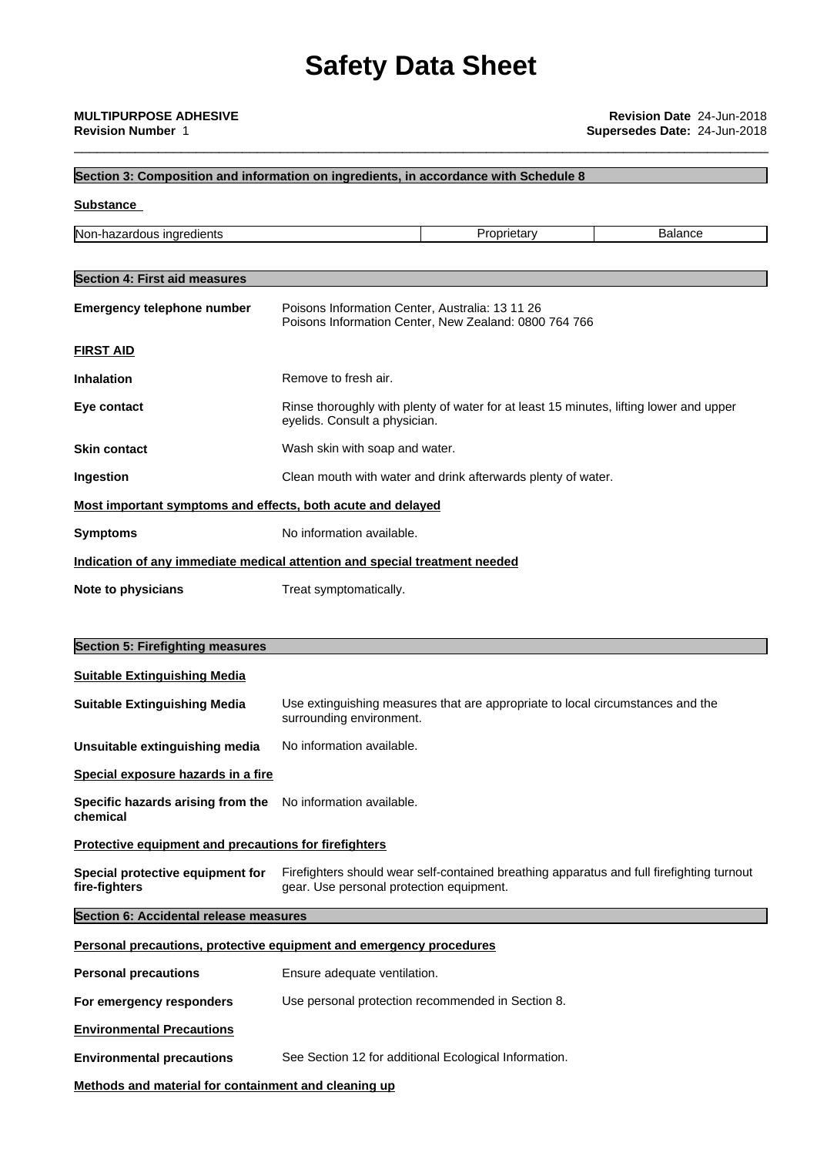## **Section 3: Composition and information on ingredients, in accordance with Schedule 8 Substance Section 4: First aid measures Emergency telephone number** Poisons Information Center, Australia: 13 11 26 Poisons Information Center, New Zealand: 0800 764 766 **FIRST AID Inhalation** Remove to fresh air. **Eye contact** Rinse thoroughly with plenty of water for at least 15 minutes, lifting lower and upper eyelids. Consult a physician. **Skin contact** Wash skin with soap and water. **Ingestion** Clean mouth with water and drink afterwards plenty of water. **Most important symptoms and effects, both acute and delayed Symptoms** No information available. **Indication of any immediate medical attention and special treatment needed Note to physicians** Treat symptomatically. **Section 5: Firefighting measures Suitable Extinguishing Media Suitable Extinguishing Media** Use extinguishing measures that are appropriate to local circumstances and the surrounding environment. **Unsuitable extinguishing media** No information available. **Special exposure hazards in a fire Specific hazards arising from the chemical** No information available. **Protective equipment and precautions for firefighters Special protective equipment for fire-fighters** Firefighters should wear self-contained breathing apparatus and full firefighting turnout gear. Use personal protection equipment. **Section 6: Accidental release measures Personal precautions, protective equipment and emergency procedures Personal precautions** Ensure adequate ventilation. **For emergency responders** Use personal protection recommended in Section 8. **Environmental Precautions Environmental precautions** See Section 12 for additional Ecological Information. Non-hazardous ingredients **Example 2018** Proprietary **Balance** Balance

**Methods and material for containment and cleaning up**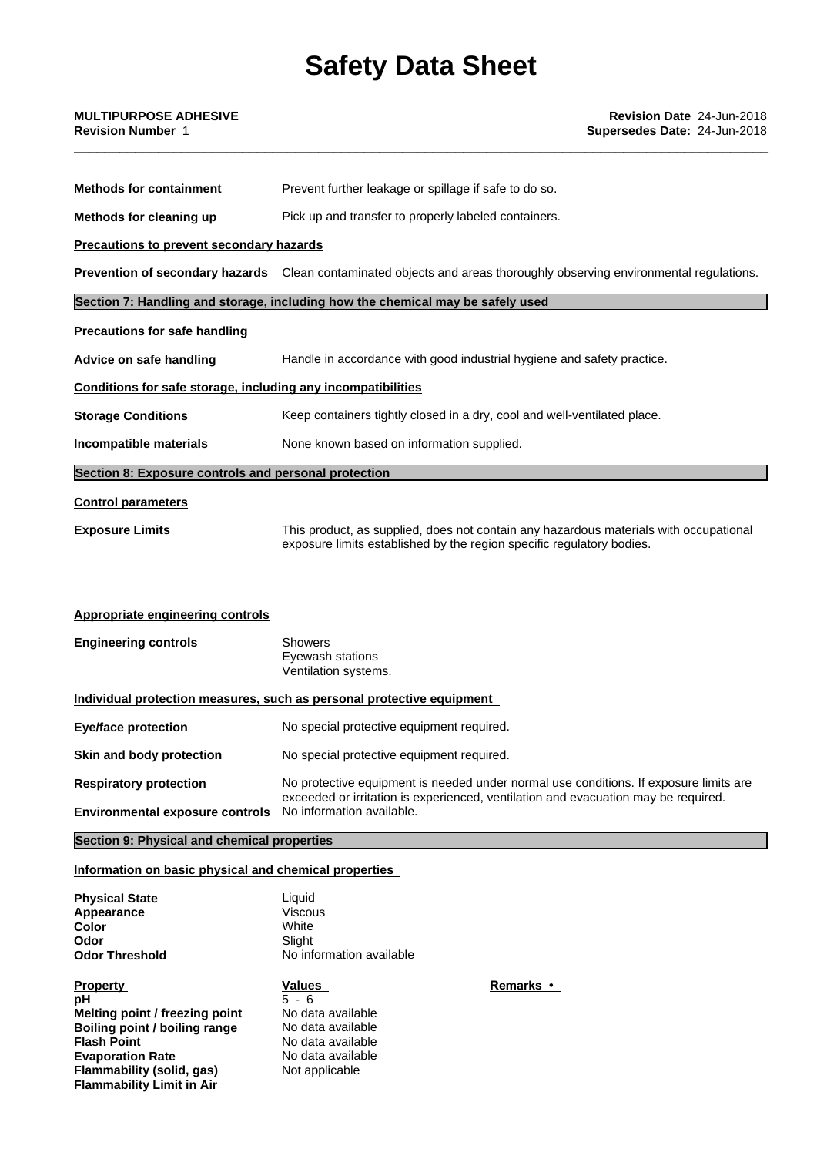| <b>Methods for containment</b>                                                                                                                                                           | Prevent further leakage or spillage if safe to do so.                                                                                                                       |  |  |
|------------------------------------------------------------------------------------------------------------------------------------------------------------------------------------------|-----------------------------------------------------------------------------------------------------------------------------------------------------------------------------|--|--|
| Methods for cleaning up                                                                                                                                                                  | Pick up and transfer to properly labeled containers.                                                                                                                        |  |  |
| Precautions to prevent secondary hazards                                                                                                                                                 |                                                                                                                                                                             |  |  |
|                                                                                                                                                                                          | Prevention of secondary hazards Clean contaminated objects and areas thoroughly observing environmental regulations.                                                        |  |  |
|                                                                                                                                                                                          | Section 7: Handling and storage, including how the chemical may be safely used                                                                                              |  |  |
| <b>Precautions for safe handling</b>                                                                                                                                                     |                                                                                                                                                                             |  |  |
| Advice on safe handling                                                                                                                                                                  | Handle in accordance with good industrial hygiene and safety practice.                                                                                                      |  |  |
| Conditions for safe storage, including any incompatibilities                                                                                                                             |                                                                                                                                                                             |  |  |
| <b>Storage Conditions</b>                                                                                                                                                                | Keep containers tightly closed in a dry, cool and well-ventilated place.                                                                                                    |  |  |
| Incompatible materials                                                                                                                                                                   | None known based on information supplied.                                                                                                                                   |  |  |
| Section 8: Exposure controls and personal protection                                                                                                                                     |                                                                                                                                                                             |  |  |
| <b>Control parameters</b>                                                                                                                                                                |                                                                                                                                                                             |  |  |
| <b>Exposure Limits</b><br>This product, as supplied, does not contain any hazardous materials with occupational<br>exposure limits established by the region specific regulatory bodies. |                                                                                                                                                                             |  |  |
| <b>Appropriate engineering controls</b>                                                                                                                                                  |                                                                                                                                                                             |  |  |
| <b>Engineering controls</b><br><b>Showers</b><br>Eyewash stations<br>Ventilation systems.                                                                                                |                                                                                                                                                                             |  |  |
|                                                                                                                                                                                          | <u>Individual protection measures, such as personal protective equipment</u>                                                                                                |  |  |
| <b>Eye/face protection</b>                                                                                                                                                               | No special protective equipment required.                                                                                                                                   |  |  |
| <b>Skin and body protection</b>                                                                                                                                                          | No special protective equipment required.                                                                                                                                   |  |  |
| <b>Respiratory protection</b>                                                                                                                                                            | No protective equipment is needed under normal use conditions. If exposure limits are<br>exceeded or irritation is experienced, ventilation and evacuation may be required. |  |  |
| Environmental exposure controls No information available.                                                                                                                                |                                                                                                                                                                             |  |  |
| Section 9: Physical and chemical properties                                                                                                                                              |                                                                                                                                                                             |  |  |
| Information on basic physical and chemical properties                                                                                                                                    |                                                                                                                                                                             |  |  |

| <b>Physical State</b>                                           | ∟iquid                   |                  |  |
|-----------------------------------------------------------------|--------------------------|------------------|--|
| Appearance                                                      | Viscous                  |                  |  |
| Color                                                           | White                    |                  |  |
| Odor                                                            | Slight                   |                  |  |
| <b>Odor Threshold</b>                                           | No information available |                  |  |
| Property                                                        | Values                   | <b>Remarks</b> • |  |
|                                                                 |                          |                  |  |
| pН                                                              | $5 - 6$                  |                  |  |
|                                                                 | No data available        |                  |  |
| Melting point / freezing point<br>Boiling point / boiling range | No data available        |                  |  |
| <b>Flash Point</b>                                              | No data available        |                  |  |

**Flammability Limit in Air**

**Flammability (solid, gas)** Not applicable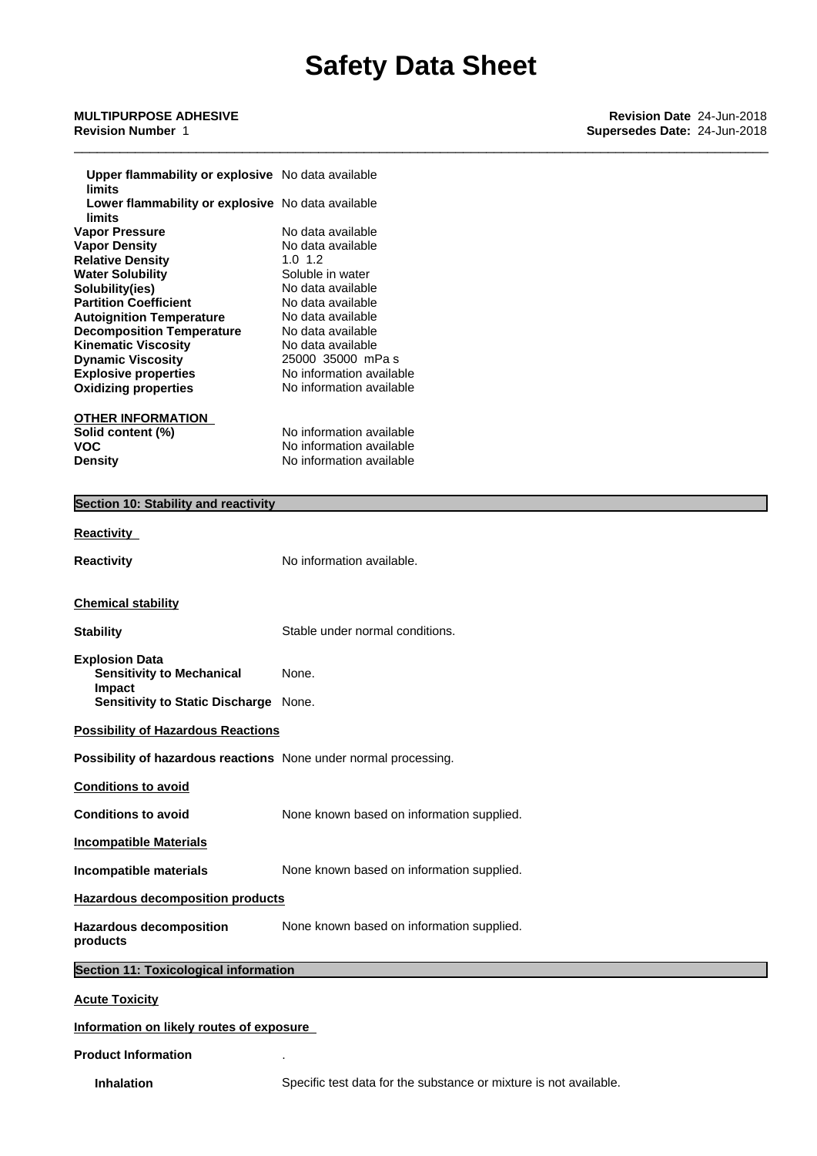| Upper flammability or explosive No data available<br>limits      |                                                      |  |  |
|------------------------------------------------------------------|------------------------------------------------------|--|--|
| Lower flammability or explosive No data available<br>limits      |                                                      |  |  |
| <b>Vapor Pressure</b>                                            | No data available                                    |  |  |
| <b>Vapor Density</b>                                             | No data available                                    |  |  |
| <b>Relative Density</b><br><b>Water Solubility</b>               | $1.0 \t1.2$<br>Soluble in water                      |  |  |
| Solubility(ies)                                                  | No data available                                    |  |  |
| <b>Partition Coefficient</b><br>No data available                |                                                      |  |  |
| <b>Autoignition Temperature</b><br>No data available             |                                                      |  |  |
| <b>Decomposition Temperature</b><br><b>Kinematic Viscosity</b>   | No data available<br>No data available               |  |  |
| <b>Dynamic Viscosity</b>                                         | 25000 35000 mPa s                                    |  |  |
| <b>Explosive properties</b>                                      | No information available                             |  |  |
| <b>Oxidizing properties</b>                                      | No information available                             |  |  |
| <b>OTHER INFORMATION</b>                                         |                                                      |  |  |
| Solid content (%)                                                | No information available                             |  |  |
| <b>VOC</b><br><b>Density</b>                                     | No information available<br>No information available |  |  |
|                                                                  |                                                      |  |  |
| Section 10: Stability and reactivity                             |                                                      |  |  |
|                                                                  |                                                      |  |  |
| <b>Reactivity</b>                                                |                                                      |  |  |
| <b>Reactivity</b>                                                | No information available.                            |  |  |
|                                                                  |                                                      |  |  |
| <b>Chemical stability</b>                                        |                                                      |  |  |
| <b>Stability</b>                                                 | Stable under normal conditions.                      |  |  |
| <b>Explosion Data</b>                                            |                                                      |  |  |
| <b>Sensitivity to Mechanical</b><br>Impact                       | None.                                                |  |  |
| Sensitivity to Static Discharge None.                            |                                                      |  |  |
| <b>Possibility of Hazardous Reactions</b>                        |                                                      |  |  |
| Possibility of hazardous reactions None under normal processing. |                                                      |  |  |
| <b>Conditions to avoid</b>                                       |                                                      |  |  |
| <b>Conditions to avoid</b>                                       | None known based on information supplied.            |  |  |
| <b>Incompatible Materials</b>                                    |                                                      |  |  |
| Incompatible materials                                           | None known based on information supplied.            |  |  |
| <b>Hazardous decomposition products</b>                          |                                                      |  |  |
| <b>Hazardous decomposition</b><br>products                       | None known based on information supplied.            |  |  |
| <b>Section 11: Toxicological information</b>                     |                                                      |  |  |
| <b>Acute Toxicity</b>                                            |                                                      |  |  |
|                                                                  |                                                      |  |  |
| Information on likely routes of exposure                         |                                                      |  |  |

#### **Product Information** .

**Inhalation** Specific test data for the substance or mixture is not available.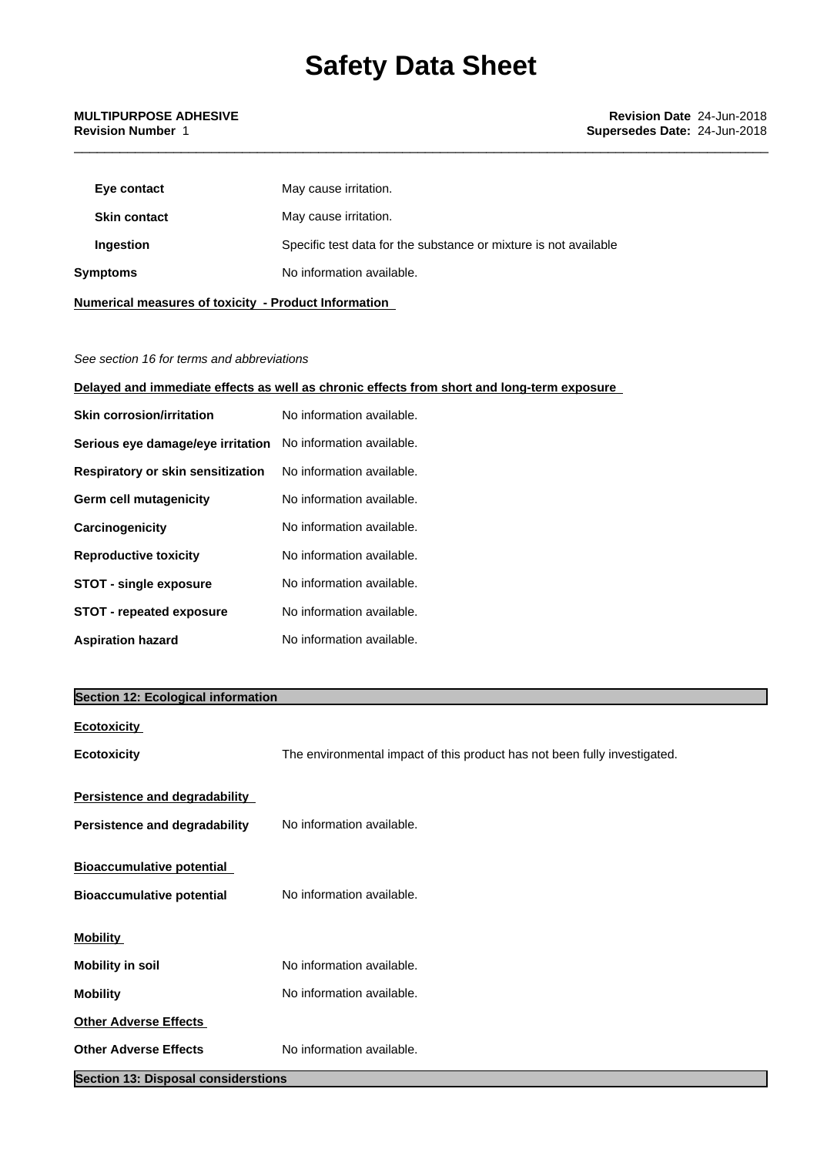| Eye contact         | May cause irritation.                                            |
|---------------------|------------------------------------------------------------------|
| <b>Skin contact</b> | May cause irritation.                                            |
| Ingestion           | Specific test data for the substance or mixture is not available |
| Symptoms            | No information available.                                        |
|                     |                                                                  |

*See section 16 for terms and abbreviations*

**Numerical measures of toxicity - Product Information**

**Delayed and immediate effects as well as chronic effects from short and long-term exposure**

| <b>Skin corrosion/irritation</b>  | No information available. |
|-----------------------------------|---------------------------|
| Serious eye damage/eye irritation | No information available. |
| Respiratory or skin sensitization | No information available. |
| <b>Germ cell mutagenicity</b>     | No information available. |
| Carcinogenicity                   | No information available. |
| <b>Reproductive toxicity</b>      | No information available. |
| <b>STOT - single exposure</b>     | No information available. |
| <b>STOT - repeated exposure</b>   | No information available. |
| <b>Aspiration hazard</b>          | No information available. |

### **Section 12: Ecological information**

| <u>Ecotoxicity</u>                                                           |                                                                           |
|------------------------------------------------------------------------------|---------------------------------------------------------------------------|
| <b>Ecotoxicity</b>                                                           | The environmental impact of this product has not been fully investigated. |
| <b>Persistence and degradability</b><br><b>Persistence and degradability</b> | No information available.                                                 |
| <b>Bioaccumulative potential</b><br><b>Bioaccumulative potential</b>         | No information available.                                                 |
| <b>Mobility</b>                                                              |                                                                           |
| <b>Mobility in soil</b>                                                      | No information available.                                                 |
| <b>Mobility</b>                                                              | No information available.                                                 |
| <b>Other Adverse Effects</b>                                                 |                                                                           |
| <b>Other Adverse Effects</b>                                                 | No information available.                                                 |
|                                                                              |                                                                           |

**Section 13: Disposal considerstions**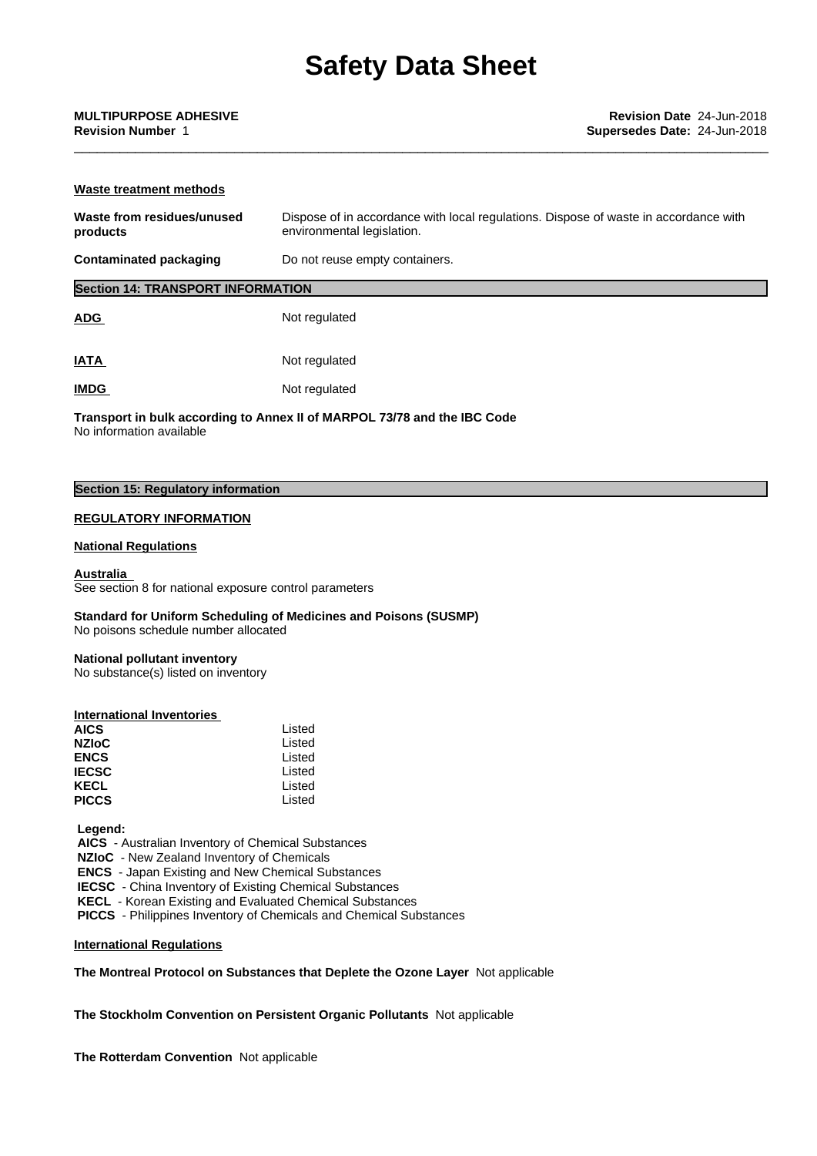| Waste treatment methods                  |                                                                                                                    |  |  |  |
|------------------------------------------|--------------------------------------------------------------------------------------------------------------------|--|--|--|
| Waste from residues/unused<br>products   | Dispose of in accordance with local regulations. Dispose of waste in accordance with<br>environmental legislation. |  |  |  |
| <b>Contaminated packaging</b>            | Do not reuse empty containers.                                                                                     |  |  |  |
| <b>Section 14: TRANSPORT INFORMATION</b> |                                                                                                                    |  |  |  |
| <b>ADG</b>                               | Not regulated                                                                                                      |  |  |  |
| <b>IATA</b>                              | Not regulated                                                                                                      |  |  |  |

**IMDG** Not regulated

**Transport in bulk according to Annex II ofMARPOL 73/78 and the IBC Code** No information available

## **Section 15: Regulatory information**

### **REGULATORY INFORMATION**

#### **National Regulations**

**Australia** See section 8 for national exposure control parameters

**Standard for Uniform Scheduling of Medicines and Poisons (SUSMP)** No poisons schedule number allocated

#### **National pollutant inventory**

No substance(s) listed on inventory

| Listed |  |
|--------|--|
| Listed |  |
| Listed |  |
| Listed |  |
| Listed |  |
| Listed |  |
|        |  |

 **Legend:**

 **AICS** - Australian Inventory of Chemical Substances

 **NZIoC** - New Zealand Inventory of Chemicals

 **ENCS** - Japan Existing and New Chemical Substances

 **IECSC** - China Inventory of Existing Chemical Substances

 **KECL** - Korean Existing and Evaluated Chemical Substances

 **PICCS** - Philippines Inventory of Chemicals and Chemical Substances

**International Regulations**

### **The Montreal Protocol on Substances that Deplete the Ozone Layer** Notapplicable

**The Stockholm Convention on Persistent Organic Pollutants** Not applicable

**The Rotterdam Convention** Not applicable